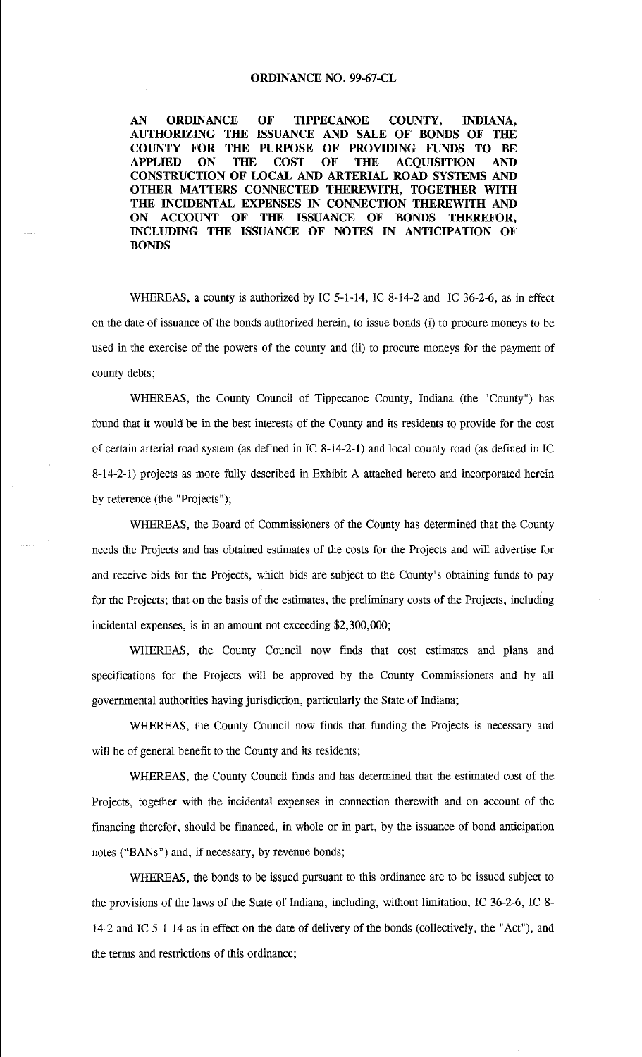### **ORDINANCE NO. 99-67-CL**

**AN ORDINANCE OF TIPPECANOE COUNTY, INDIANA, AUTHORIZING THE ISSUANCE AND SALE OF BONDS OF THE COUNTY FOR THE PURPOSE OF PROVIDING FUNDS TO BE APPLIED ON THE COST OF THE ACQUISITION AND CONSTRUCTION OF LOCAL AND ARTERIAL ROAD SYSTEMS AND OTHER MATTERS CONNECTED THEREWITH, TOGETHER Willi**  THE INCIDENTAL EXPENSES IN CONNECTION THEREWITH AND **ON ACCOUNT OF THE ISSUANCE OF BONDS THEREFOR, INCLUDING THE ISSUANCE OF NOTES IN ANTICIPATION OF BONDS** 

WHEREAS, a county is authorized by IC 5-1-14, IC 8-14-2 and IC 36-2-6, as in effect on the date of issuance of the bonds authorized herein, to issue bonds (i) to procure moneys to be used in the exercise of the powers of the county and (ii) to procure moneys for the payment of county debts;

WHEREAS, the County Council of Tippecanoe County, Indiana (the "County") has found that it would be in the best interests of the County and its residents to provide for the cost of certain arterial road system (as defined in IC 8-14-2-1) and local county road (as defined in IC 8-14-2-1) projects as more fully described in Exhibit A attached hereto and incorporated herein by reference (the "Projects");

WHEREAS, the Board of Commissioners of the County has determined that the County needs the Projects and has obtained estimates of the costs for the Projects and will advertise for and receive bids for the Projects, which bids are subject to the County's obtaining funds to pay for the Projects; that on the basis of the estimates, the preliminary costs of the Projects, including incidental expenses, is in an amount not exceeding \$2,300,000;

WHEREAS, the County Council now finds that cost estimates and plans and specifications for the Projects will be approved by the County Commissioners and by all governmental authorities having jurisdiction, particularly the State of Indiana;

WHEREAS, the County Council now finds that funding the Projects is necessary and will be of general benefit to the County and its residents;

WHEREAS, the County Council finds and has determined that the estimated cost of the Projects, together with the incidental expenses in connection therewith and on account of the financing therefor, should be financed, in whole or in part, by the issuance of bond anticipation notes ("BANs") and, if necessary, by revenue bonds;

WHEREAS, the bonds to be issued pursuant to this ordinance are to be issued subject to the provisions of the laws of the State of Indiana, including, without limitation, IC 36-2-6, IC 8- 14-2 and IC 5-1-14 as in effect on the date of delivery of the bonds (collectively, the "Act"), and the terms and restrictions of this ordinance;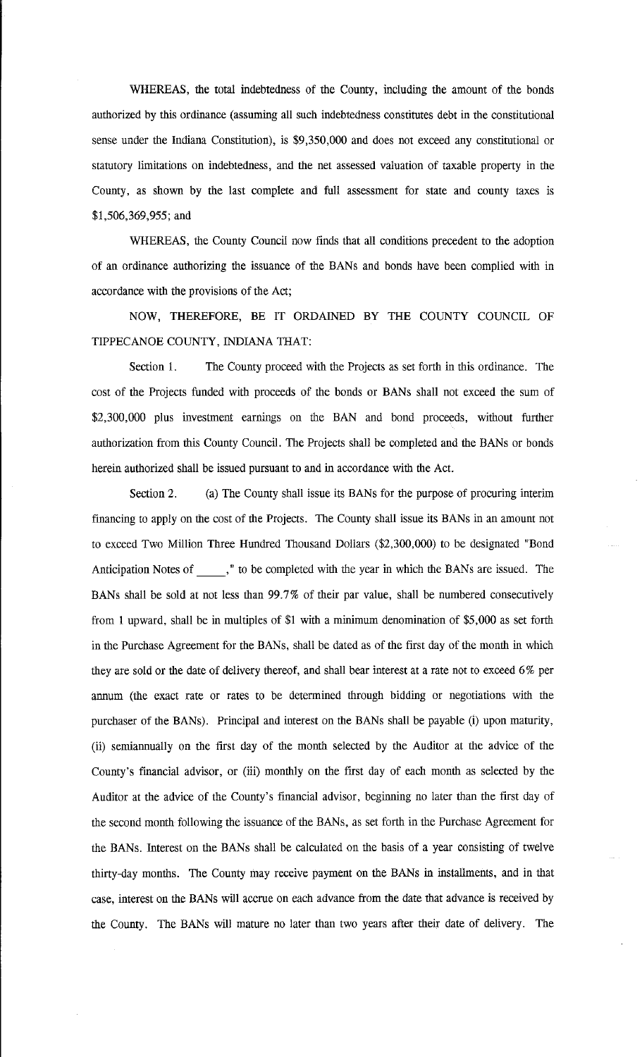WHEREAS, the total indebtedness of the County, including the amount of the bonds authorized by this ordinance (assuming all such indebtedness constitutes debt in the constitutional sense under the Indiana Constitution), is \$9,350,000 and does not exceed any constitutional or statutory limitations on indebtedness, and the net assessed valuation of taxable property in the County, as shown by the last complete and full assessment for state and county taxes is \$1,506,369,955; and

WHEREAS, the County Council now finds that all conditions precedent to the adoption of an ordinance authorizing the issuance of the BANs and bonds have been complied with in accordance with the provisions of the Act;

NOW, THEREFORE, BE IT ORDAINED BY THE COUNTY COUNCIL OF TIPPECANOE COUNTY, INDIANA THAT:

Section 1. The County proceed with the Projects as set forth in this ordinance. The cost of the Projects funded with proceeds of the bonds or BANs shall not exceed the sum of \$2,300,000 plus investment earnings on the BAN and bond proceeds, without further authorization from this County Council. The Projects shall be completed and the BANs or bonds herein authorized shall be issued pursuant to and in accordance with the Act.

Section 2. (a) The County shall issue its BANs for the purpose of procuring interim financing to apply on the cost of the Projects. The County shall issue its BANs in an amount not to exceed Two Million Three Hundred Thousand Dollars (\$2,300,000) to be designated "Bond Anticipation Notes of , " to be completed with the year in which the BANs are issued. The BANs shall be sold at not less than 99.7% of their par value, shall be numbered consecutively from l upward, shall be in multiples of \$1 with a minimum denomination of \$5,000 as set forth in the Purchase Agreement for the BANs, shall be dated as of the first day of the month in which they are sold or the date of delivery thereof, and shall bear interest at a rate not to exceed 6% per annum (the exact rate or rates to be determined through bidding or negotiations with the purchaser of the BANs). Principal and interest on the BANs shall be payable (i) upon maturity, (ii) semiannually on the first day of the month selected by the Auditor at the advice of the County's financial advisor, or (iii) monthly on the first day of each month as selected by the Auditor at the advice of the County's financial advisor, beginning no later than the first day of the second month following the issuance of the BANs, as set forth in the Purchase Agreement for the BANs. Interest on the BANs shall be calculated on the basis of a year consisting of twelve thirty-day months. The County may receive payment on the BANs in installments, and in that case, interest on the BANs will accrue on each advance from the date that advance is received by the County. The BANs will mature no later than two years after their date of delivery. The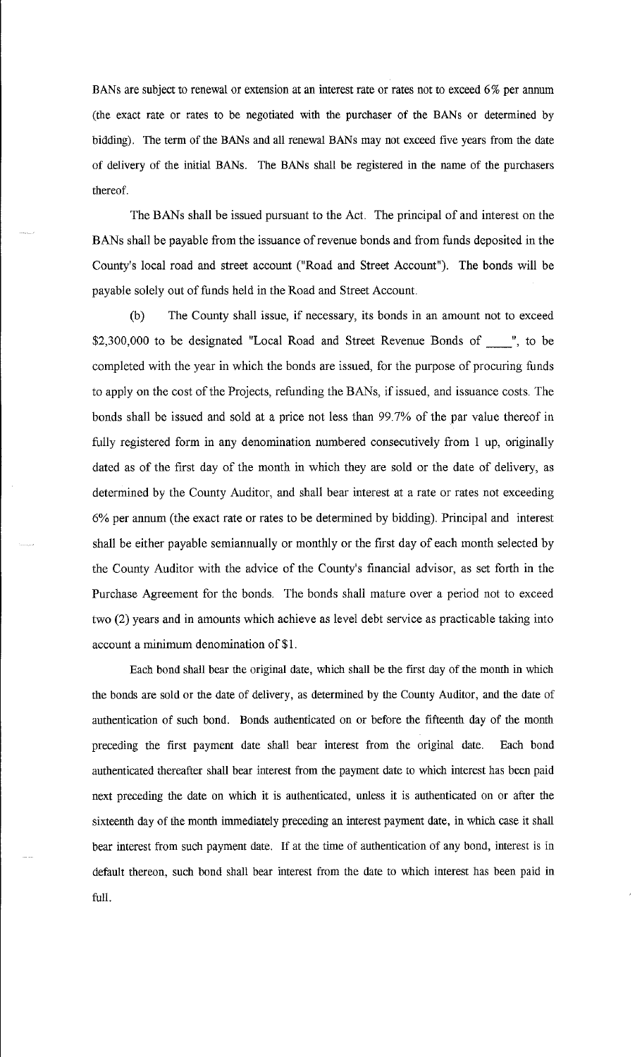BANs are subject to renewal or extension at an interest rate or rates not to exceed 6% per annum (the exact rate or rates to be negotiated with the purchaser of the BANs or determined by bidding). The term of the BANs and all renewal BANs may not exceed five years from the date of delivery of the initial BANs. The BANs shall be registered in the name of the purchasers thereof.

The BANs shall be issued pursuant to the Act. The principal of and interest on the BANs shall be payable from the issuance of revenue bonds and from funds deposited in the County's local road and street account ("Road and Street Account"). The bonds will be payable solely out of funds held in the Road and Street Account.

(b) The County shall issue, if necessary, its bonds in an amount not to exceed \$2,300,000 to be designated "Local Road and Street Revenue Bonds of \_\_\_\_", to be completed with the year in which the bonds are issued, for the purpose of procuring funds to apply on the cost of the Projects, refunding the BANs, if issued, and issuance costs. The bonds shall be issued and sold at a price not less than 99. 7% of the par value thereof in fully registered form in any denomination numbered consecutively from 1 up, originally dated as of the first day of the month in which they are sold or the date of delivery, as determined by the County Auditor, and shall bear interest at a rate or rates not exceeding 6% per annum (the exact rate or rates to be determined by bidding). Principal and interest shall be either payable semiannually or monthly or the first day of each month selected by the County Auditor with the advice of the County's financial advisor, as set forth in the Purchase Agreement for the bonds. The bonds shall mature over a period not to exceed two (2) years and in amounts which achieve as level debt service as practicable taking into account a minimum denomination of \$1.

Each bond shall bear the original date, which shall be the first day of the month in which the bonds are sold or the date of delivery, as determined by the County Auditor, and the date of authentication of such bond. Bonds authenticated on or before the fifteenth day of the month preceding the first payment date shall bear interest from the original date. Each bond authenticated thereafter shall bear interest from the payment date to which interest has been paid next preceding the date on which it is authenticated, unless it is authenticated on or after the sixteenth day of the month immediately preceding an interest payment date, in which case it shall bear interest from such payment date. If at the time of authentication of any bond, interest is in default thereon, such bond shall bear interest from the date to which interest has been paid in full.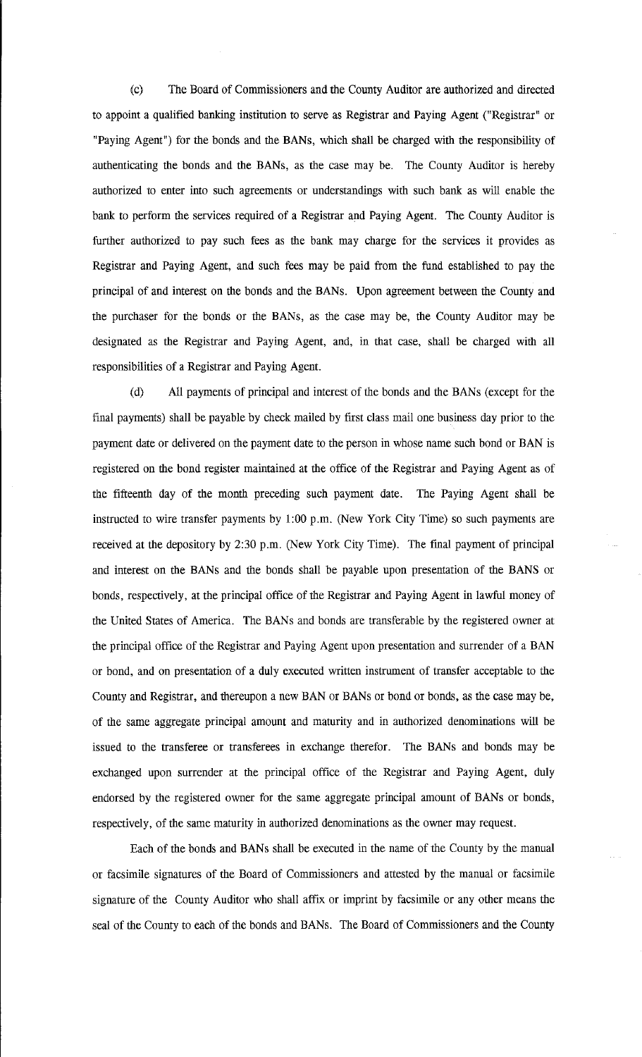(c) The Board of Commissioners and the County Auditor are authorized and directed to appoint a qualified banking institution to serve as Registrar and Paying Agent ("Registrar" or "Paying Agent") for the bonds and the BANs, which shall be charged with the responsibility of authenticating the bonds and the BANs, as the case may be. The County Auditor is hereby authorized to enter into such agreements or understandings with such bank as will enable the bank to perform the services required of a Registrar and Paying Agent. The County Auditor is further authorized to pay such fees as the bank may charge for the services it provides as Registrar and Paying Agent, and such fees may be paid from the fund established to pay the principal of and interest on the bonds and the BANs. Upon agreement between the County and the purchaser for the bonds or the BANs, as the case may be, the County Auditor may be designated as the Registrar and Paying Agent, and, in that case, shall be charged with all responsibilities of a Registrar and Paying Agent.

(d) All payments of principal and interest of the bonds and the BANs (except for the final payments) shall be payable by check mailed by first class mail one business day prior to the payment date or delivered on the payment date to the person in whose name such bond or BAN is registered on the bond register maintained at the office of the Registrar and Paying Agent as of the fifteenth day of the month preceding such payment date. The Paying Agent shall be instructed to wire transfer payments by 1:00 p.m. (New York City Time) so such payments are received at the depository by 2:30 p.m. (New York City Time). The final payment of principal and interest on the BANs and the bonds shall be payable upon presentation of the BANS or bonds, respectively, at the principal office of the Registrar and Paying Agent in lawful money of the United States of America. The BANs and bonds are transferable by the registered owner at the principal office of the Registrar and Paying Agent upon presentation and surrender of a BAN or bond, and on presentation of a duly executed written instrument of transfer acceptable to the County and Registrar, and thereupon a new BAN or BANs or bond or bonds, as the case may be, of the same aggregate principal amount and maturity and in authorized denominations will be issued to the transferee or transferees in exchange therefor. The BANs and bonds may be exchanged upon surrender at the principal office of the Registrar and Paying Agent, duly endorsed by the registered owner for the same aggregate principal amount of BANs or bonds, respectively, of the same maturity in authorized denominations as the owner may request.

Each of the bonds and BANs shall be executed in the name of the County by the manual or facsimile signatures of the Board of Commissioners and attested by the manual or facsimile signature of the County Auditor who shall affix or imprint by facsimile or any other means the seal of the County to each of the bonds and BANs. The Board of Commissioners and the County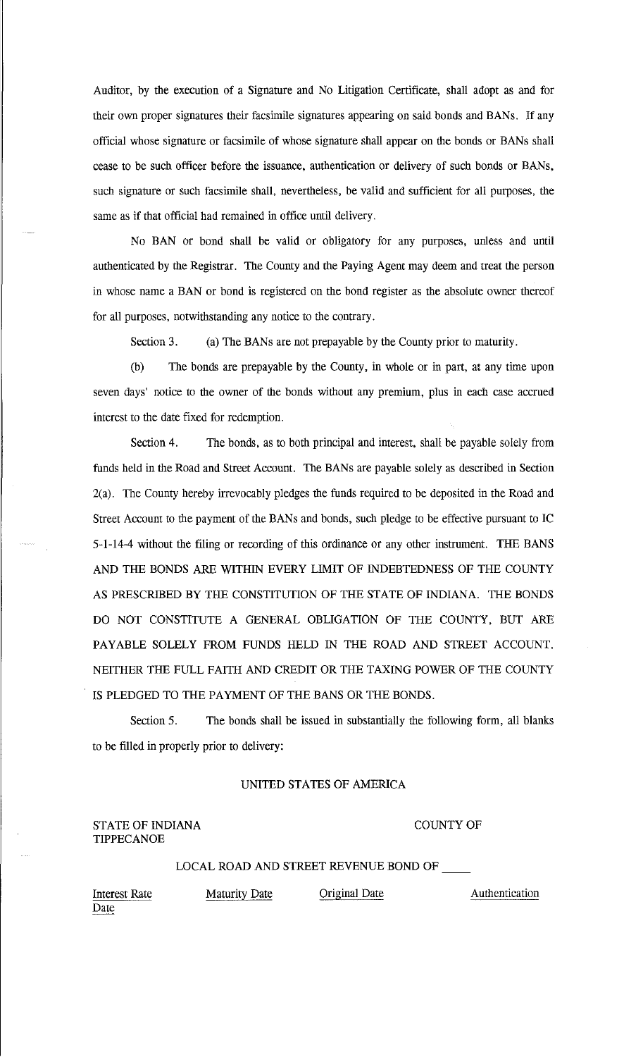Auditor, by the execution of a Signature and No Litigation Certificate, shall adopt as and for their own proper signatures their facsimile signatures appearing on said bonds and BANs. If any official whose signature or facsimile of whose signature shall appear on the bonds or BANs shall cease to be such officer before the issuance, authentication or delivery of such bonds or BANs, such signature or such facsimile shall, nevertheless, be valid and sufficient for all purposes, the same as if that official had remained in office until delivery.

No BAN or bond shall be valid or obligatory for any purposes, unless and until authenticated by the Registrar. The County and the Paying Agent may deem and treat the person in whose name a BAN or bond is registered on the bond register as the absolute owner thereof for all purposes, notwithstanding any notice to the contrary.

Section 3. (a) The BANs are not prepayable by the County prior to maturity.

(b) The bonds are prepayable by the County, in whole or in part, at any time upon seven days' notice to the owner of the bonds without any premium, plus in each case accrued interest to the date fixed for redemption.

Section 4. The bonds, as to both principal and interest, shall be payable solely from funds held in the Road and Street Account. The BANs are payable solely as described in Section 2(a). The County hereby irrevocably pledges the funds required to be deposited in the Road and Street Account to the payment of the BANs and bonds, such pledge to be effective pursuant to IC 5-1-14-4 without the filing or recording of this ordinance or any other instrument. THE BANS AND THE BONDS ARE WITHIN EVERY LIMIT OF INDEBTEDNESS OF THE COUNTY AS PRESCRIBED BY THE CONSTITUTION OF THE STATE OF INDIANA. THE BONDS DO NOT CONSTITUTE A GENERAL OBLIGATION OF THE COUNTY, BUT ARE PAYABLE SOLELY FROM FUNDS HELD IN THE ROAD AND STREET ACCOUNT. NEITHER THE FULL FAITH AND CREDIT OR THE TAXING POWER OF THE COUNTY IS PLEDGED TO THE PAYMENT OF THE BANS OR THE BONDS.

Section 5. The bonds shall be issued in substantially the following form, all blanks to be filled in properly prior to delivery:

## UNITED STATES OF AMERICA

## STATE OF INDIANA TIPPECANOE

#### COUNTY OF

## LOCAL ROAD AND STREET REVENUE BOND OF

Interest Rate Date

Maturity Date **Original Date** Authentication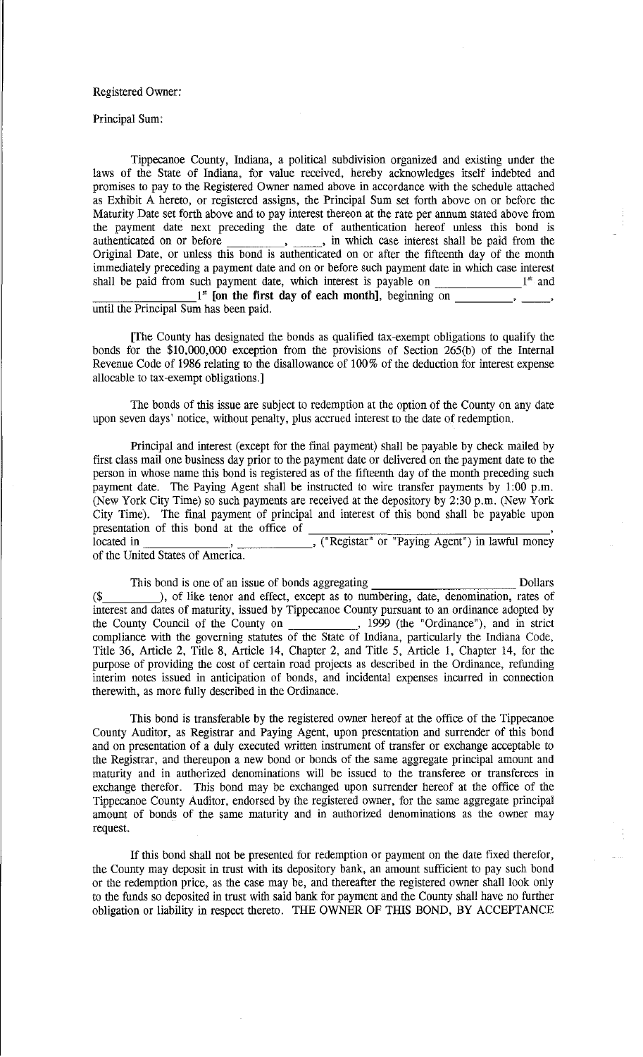### Registered Owner:

Principal Sum:

Tippecanoe County, Indiana, a political subdivision organized and existing under the laws of the State of Indiana, for value received, hereby acknowledges itself indebted and promises to pay to the Registered Owner named above in accordance with the schedule attached as Exhibit A hereto, or registered assigns, the Principal Sum set forth above on or before the Maturity Date set forth above and to pay interest thereon at the rate per annum stated above from the payment date next preceding the date of authentication hereof unless this bond is the payment date next preceding the date of authentication hereof unless this bond is<br>authenticated on or before  $\overline{\phantom{a}}$ ,  $\overline{\phantom{a}}$ , in which case interest shall be paid from the Original Date, or unless this bond is authenticated on or after the fifteenth day of the month immediately preceding a payment date and on or before such payment date in which case interest shall be paid from such payment date, which interest is payable on  $1<sup>st</sup>$  and  $1<sup>st</sup>$  [on the first day of each month], beginning on  $\qquad \qquad$ ,

until the Principal Sum has been paid.

[The County has designated the bonds as qualified tax-exempt obligations to qualify the bonds for the \$10,000,000 exception from the provisions of Section 265(b) of the Internal Revenue Code of 1986 relating to the disallowance of 100% of the deduction for interest expense allocable to tax-exempt obligations.]

The bonds of this issue are subject to redemption at the option of the County on any date upon seven days' notice, without penalty, plus accrued interest to the date of redemption.

Principal and interest (except for the final payment) shall be payable by check mailed by first class mail one business day prior to the payment date or delivered on the payment date to the person in whose name this bond is registered as of the fifteenth day of the month preceding such payment date. The Paying Agent shall be instructed to wire transfer payments by 1:00 p.m. (New York City Time) so such payments are received at the depository by 2:30 p.m. (New York City Time). The final payment of principal and interest of this bond shall be payable upon present at the orientation of the office of the orientation of the orientation of the orientation of  $\overline{R}$ , ("Registar" or "Paying Agent") in lawful money

of the United States of America.

This bond is one of an issue of bonds aggregating Dollars (\$ ), of like tenor and effect, except as to numbering, date, denomination, rates of interest and dates of maturity, issued by Tippecanoe County pursuant to an ordinance adopted by the County Council of the County on 1999 (the "Ordinance"), and in strict compliance with the governing statutes of the State of Indiana, particularly the Indiana Code, Title 36, Article 2, Title 8, Article 14, Chapter 2, and Title 5, Article 1, Chapter 14, for the purpose of providing the cost of certain road projects as described in the Ordinance, refunding interim notes issued in anticipation of bonds, and incidental expenses incurred in connection therewith, as more fully described in the Ordinance.

This bond is transferable by the registered owner hereof at the office of the Tippecanoe County Auditor, as Registrar and Paying Agent, upon presentation and surrender of this bond and on presentation of a duly executed written instrument of transfer or exchange acceptable to the Registrar, and thereupon a new bond or bonds of the same aggregate principal amount and maturity and in authorized denominations will be issued to the transferee or transferees in exchange therefor. This bond may be exchanged upon surrender hereof at the office of the Tippecanoe County Auditor, endorsed by the registered owner, for the same aggregate principal amount of bonds of the same maturity and in authorized denominations as the owner may request.

If this bond shall not be presented for redemption or payment on the date fixed therefor, the County may deposit in trust with its depository bank, an amount sufficient to pay such bond or the redemption price, as the case may be, and thereafter the registered owner shall look only to the funds so deposited in trust with said bank for payment and the County shall have no further obligation or liability in respect thereto. THE OWNER OF THIS BOND, BY ACCEPTANCE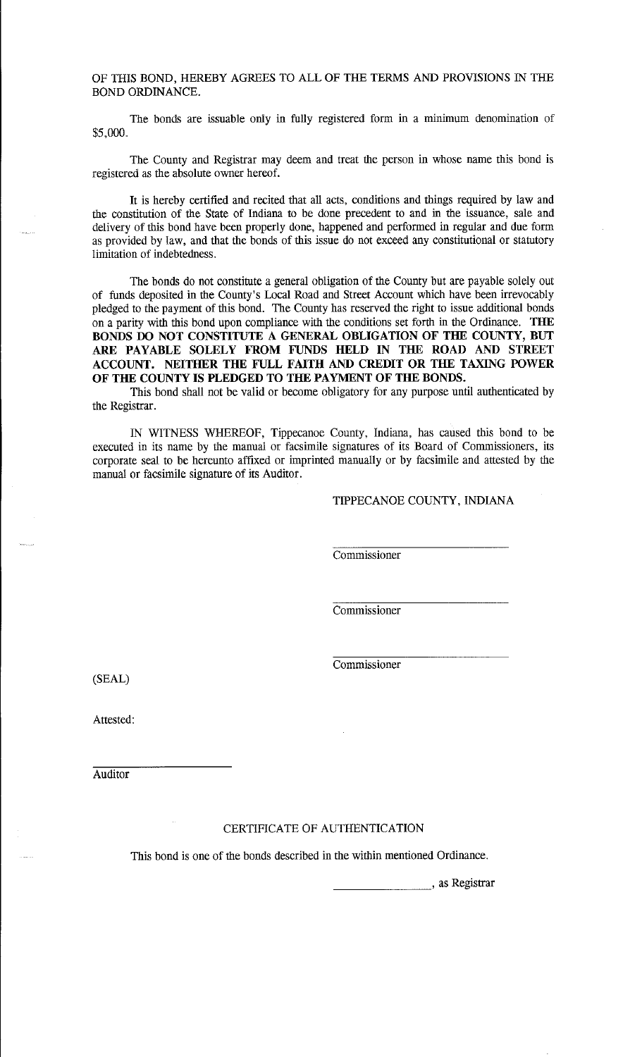OF THIS BOND, HEREBY AGREES TO ALL OF THE TERMS AND PROVISIONS IN THE BOND ORDINANCE.

The bonds are issuable only in fully registered form in a minimum denomination of \$5,000.

The County and Registrar may deem and treat the person in whose name this bond is registered as the absolute owner hereof.

It is hereby certified and recited that all acts, conditions and things required by law and the constitution of the State of Indiana to be done precedent to and in the issuance, sale and delivery of this bond have been properly done, happened and performed in regnlar and due form as provided by law, and that the bonds of this issue do not exceed any constitutional or statutory limitation of indebtedness.

The bonds do not constitute a general obligation of the County but are payable solely out of funds deposited in the County's Local Road and Street Account which have been irrevocably pledged to the payment of this bond. The County has reserved the right to issue additional bonds on a parity with this bond upon compliance with the conditions set forth in the Ordinance. **THE BONDS DO NOT CONSTITUTE A GENERAL OBLIGATION OF THE COUNTY, BUT ARE PAYABLE SOLELY FROM FUNDS HELD IN THE ROAD AND STREET ACCOUNT. NEITHER THE FULL FAITH AND CREDIT OR THE TAXING POWER OF THE COUNTY IS PLEDGED TO THE PAYMENT OF THE BONDS.** 

This bond shall not be valid or become obligatory for any purpose until authenticated by the Registrar.

IN WITNESS WHEREOF, Tippecanoe County, Indiana, has caused this bond to be executed in its name by the manual or facsimile signatures of its Board of Commissioners, its corporate seal to be hereunto affixed or imprinted manually or by facsimile and attested by the manual or facsimile signature of its Auditor.

TIPPECANOE COUNTY, INDIANA

Commissioner

Commissioner

Commissioner

(SEAL)

Attested:

**Auditor** 

#### CERTIFICATE OF AUTHENTICATION

This bond is one of the bonds described in the within mentioned Ordinance.

<sub>--</sub>, as Registrar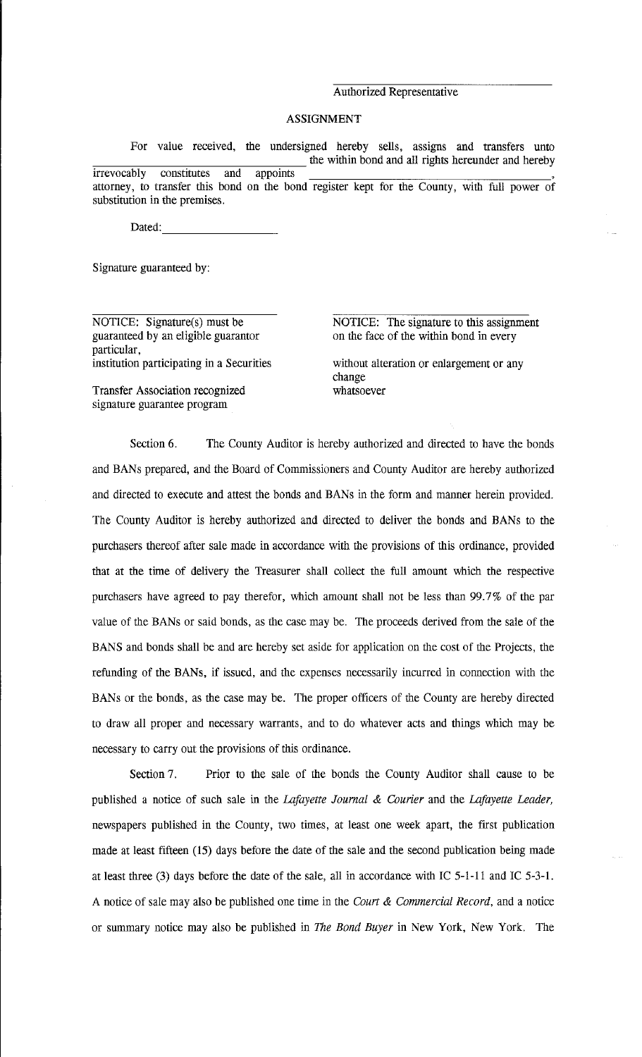## Authorized Representative

## ASSIGNMENT

For value received, the undersigned hereby sells, assigns and transfers unto the within bond and all rights hereunder and hereby irrevocably constitutes and appoints attorney, to transfer this bond on the bond register kept for the County, with full power of substitution in the premises.

Dated:

Signature guaranteed by:

NOTICE: Signature(s) must be guaranteed by an eligible guarantor particular, institution participating in a Securities

Transfer Association recognized signature guarantee program

NOTICE: The signature to this assignment on the face of the within bond in every

without alteration or enlargement or any change whatsoever

Section 6. The County Auditor is hereby authorized and directed to have the bonds and BANs prepared, and the Board of Commissioners and County Auditor are hereby authorized and directed to execute and attest the bonds and BANs in the form and manner herein provided. The County Auditor is hereby authorized and directed to deliver the bonds and BANs to the purchasers thereof after sale made in accordance with the provisions of this ordinance, provided that at the time of delivery the Treasurer shall collect the full amount which the respective purchasers have agreed to pay therefor, which amount shall not be less than 99.7% of the par value of the BANs or said bonds, as the case may be. The proceeds derived from the sale of the BANS and bonds shall be and are hereby set aside for application on the cost of the Projects, the refunding of the BANs, if issued, and the expenses necessarily incurred in connection with the BANs or the bonds, as the case may be. The proper officers of the County are hereby directed to draw all proper and necessary warrants, and to do whatever acts and things which may be necessary to carry out the provisions of this ordinance.

Section 7. Prior to the sale of the bonds the County Auditor shall cause to be published a notice of such sale in the *Lafayette Journal* & *Courier* and the *Lafayette Leader,*  newspapers published in the County, two times, at least one week apart, the first publication made at least fifteen (15) days before the date of the sale and the second publication being made at least three (3) days before the date of the sale, all in accordance with IC 5-1-11 and IC 5-3-1. A notice of sale may also be published one time in the *Court* & *Commercial Record,* and a notice or summary notice may also be published in *The Bond Buyer* in New York, New York. The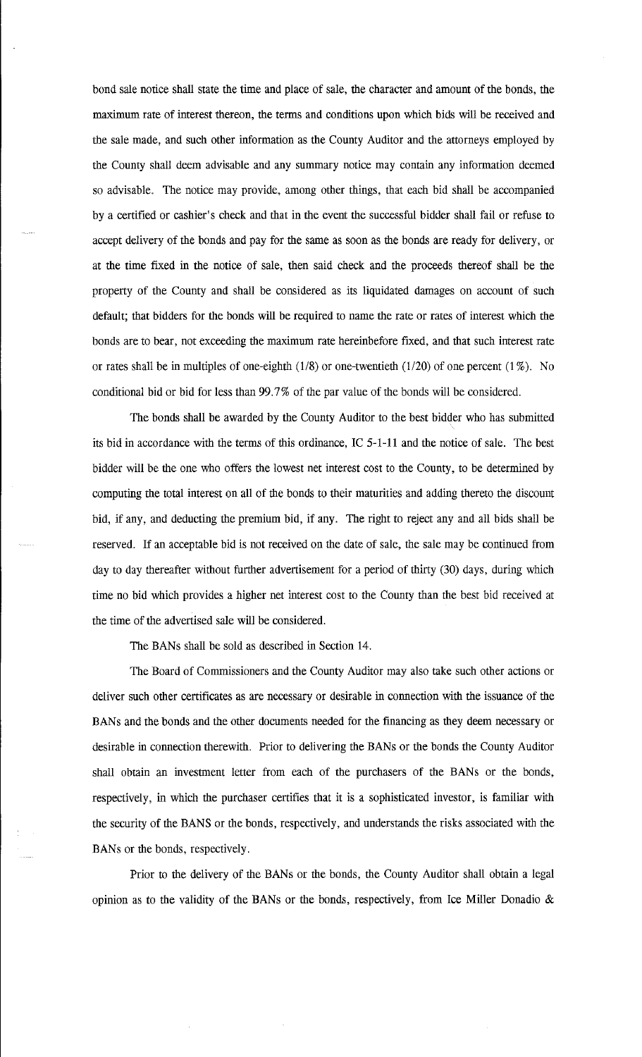bond sale notice shall state the time and place of sale, the character and amount of the bonds, the maximum rate of interest thereon, the terms and conditions upon which bids will be received and the sale made, and such other information as the County Auditor and the attorneys employed by the County shall deem advisable and any summary notice may contain any information deemed so advisable. The notice may provide, among other things, that each bid shall be accompanied by a certified or cashier's check and that in the event the successful bidder shall fail or refuse to accept delivery of the bonds and pay for the same as soon as the bonds are ready for delivery, or at the time fixed in the notice of sale, then said check and the proceeds thereof shall be the property of the County and shall be considered as its liquidated damages on account of such default; that bidders for the bonds will be required to name the rate or rates of interest which the bonds are to bear, not exceeding the maximum rate hereinbefore fixed, and that such interest rate or rates shall be in multiples of one-eighth  $(1/8)$  or one-twentieth  $(1/20)$  of one percent  $(1\%)$ . No conditional bid or bid for less than 99.7% of the par value of the bonds will be considered.

The bonds shall be awarded by the County Auditor to the best bidder who has submitted its bid in accordance with the terms of this ordinance, IC 5-1-11 and the notice of sale. The best bidder will be the one who offers the lowest net interest cost to the County, to be determined by computing the total interest on all of the bonds to their maturities and adding thereto the discount bid, if any, and deducting the premium bid, if any. The right to reject any and all bids shall be reserved. If an acceptable bid is not received on the date of sale, the sale may be continued from day to day thereafter without further advertisement for a period of thirty (30) days, during which time no bid which provides a higher net interest cost to the County than the best bid received at the time of the advertised sale will be considered.

The BANs shall be sold as described in Section 14.

The Board of Commissioners and the County Auditor may also take such other actions or deliver such other certificates as are necessary or desirable in connection with the issuance of the BANs and the bonds and the other documents needed for the financing as they deem necessary or desirable in connection therewith. Prior to delivering the BANs or the bonds the County Auditor shall obtain an investment letter from each of the purchasers of the BANs or the bonds, respectively, in which the purchaser certifies that it is a sophisticated investor, is familiar with the security of the BANS or the bonds, respectively, and understands the risks associated with the BANs or the bonds, respectively.

Prior to the delivery of the BANs or the bonds, the County Auditor shall obtain a legal opinion as to the validity of the BANs or the bonds, respectively, from Ice Miller Donadio  $\&$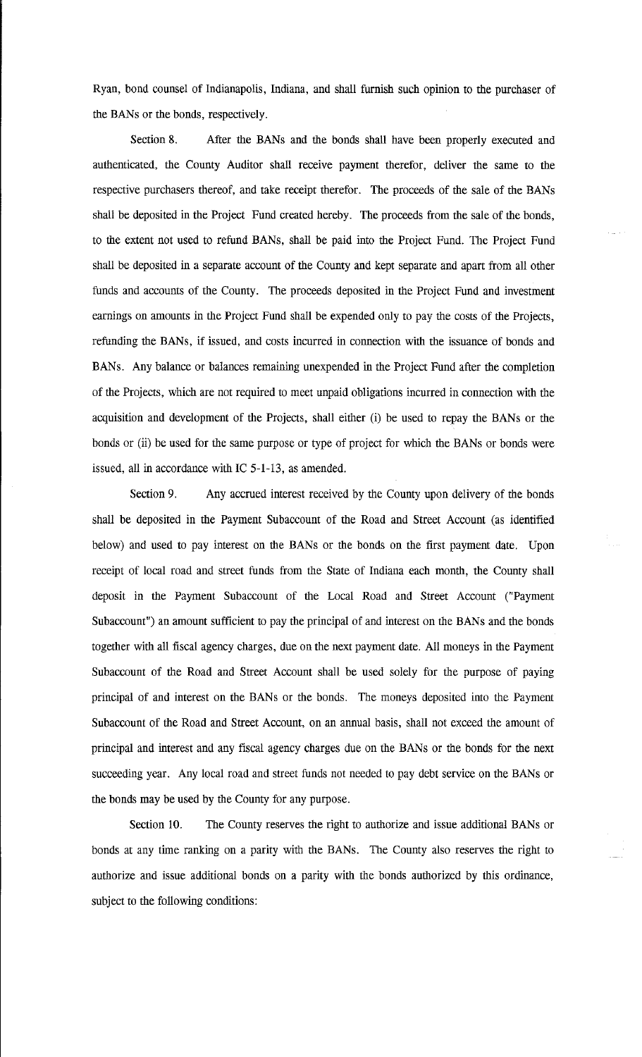Ryan, bond counsel of Indianapolis, Indiana, and shall furnish such opinion to the purchaser of the BANs or the bonds, respectively.

Section 8. After the BANs and the bonds shall have been properly executed and authenticated, the County Auditor shall receive payment therefor, deliver the same to the respective purchasers thereof, and take receipt therefor. The proceeds of the sale of the BANs shall be deposited in the Project Fund created hereby. The proceeds from the sale of the bonds, to the extent not used to refund BANs, shall be paid into the Project Fund. The Project Fund shall be deposited in a separate account of the County and kept separate and apart from all other funds and accounts of the County. The proceeds deposited in the Project Fund and investment earnings on amounts in the Project Fund shall be expended only to pay the costs of the Projects, refunding the BANs, if issued, and costs incurred in connection with the issuance of bonds and BANs. Any balance or balances remaining unexpended in the Project Fund after the completion of the Projects, which are not required to meet unpaid obligations incurred in connection with the acquisition and development of the Projects, shall either (i) be used to repay the BANs or the bonds or (ii) be used for the same purpose or type of project for which the BANs or bonds were issued, all in accordance with IC 5-1-13, as amended.

Section 9. Any accrued interest received by the County upon delivery of the bonds shall be deposited in the Payment Subaccount of the Road and Street Account (as identified below) and used to pay interest on the BANs or the bonds on the first payment date. Upon receipt of local road and street funds from the State of Indiana each month, the County shall deposit in the Payment Subaccount of the Local Road and Street Account ("Payment Subaccount") an amount sufficient to pay the principal of and interest on the BANs and the bonds together with all fiscal agency charges, due on the next payment date. All moneys in the Payment Subaccount of the Road and Street Account shall be used solely for the purpose of paying principal of and interest on the BANs or the bonds. The moneys deposited into the Payment Subaccount of the Road and Street Account, on an annual basis, shall not exceed the amount of principal and interest and any fiscal agency charges due on the BANs or the bonds for the next succeeding year. Any local road and street funds not needed to pay debt service on the BANs or the bonds may be used by the County for any purpose.

Section 10. The County reserves the right to authorize and issue additional BANs or bonds at any time ranking on a parity with the BANs. The County also reserves the right to authorize and issue additional bonds on a parity with the bonds authorized by this ordinance, subject to the following conditions: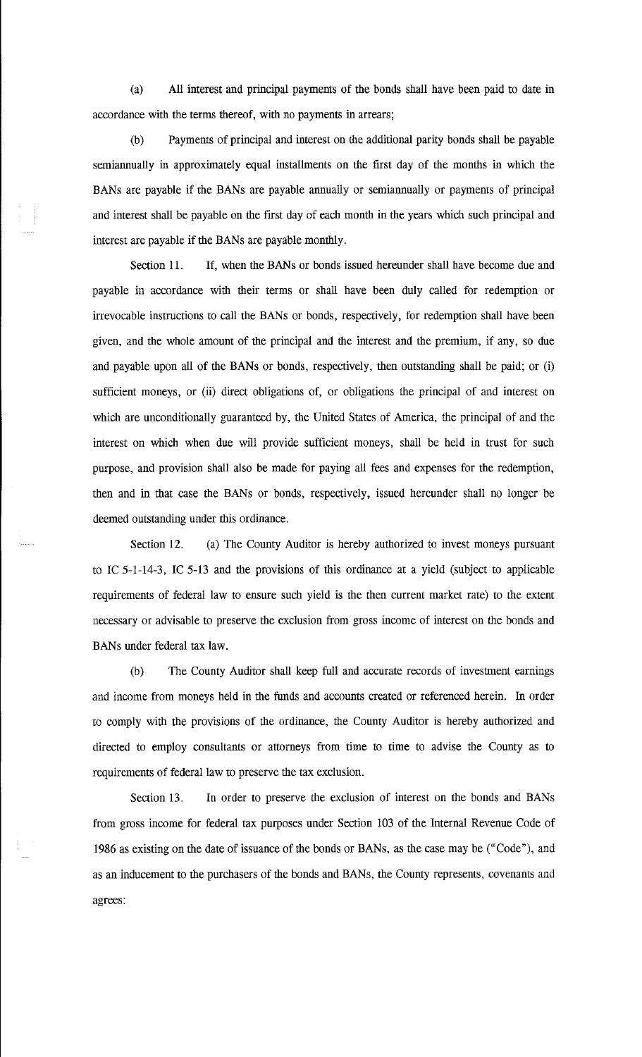(a) All interest and principal payments of the bonds shall have been paid to date in accordance with the terms thereof, with no payments in arrears;

(b) Payments of principal and interest on the additional parity bonds shall be payable semiannually in approximately equal installments on the first day of the months in which the BANs are payable if the BANs are payable annually or semiannually or payments of principal and interest shall be payable on the first day of each month in the years which such principal and interest are payable if the BANs are payable monthly.

Section 11. If, when the BANs or bonds issued hereunder shall have become due and payable in accordance with their terms or shall have been duly called for redemption or irrevocable instructions to call the BANs or bonds, respectively, for redemption shall have been given, and the whole amount of the principal and the interest and the premium, if any, so due and payable upon all of the BANs or bonds, respectively, then outstanding shall be paid; or (i) sufficient moneys, or (ii) direct obligations of, or obligations the principal of and interest on which are unconditionally guaranteed by, the United States of America, the principal of and the interest on which when due will provide sufficient moneys, shall be held in trust for such purpose, and provision shall also be made for paying all fees and expenses for the redemption, then and in that case the BANs or bonds, respectively, issued hereunder shall no longer be deemed outstanding under this ordinance.

Section 12. (a) The County Auditor is hereby authorized to invest moneys pursuant to IC 5-1-14-3, IC 5-13 and the provisions of this ordinance at a yield (subject to applicable requirements of federal law to ensure such yield is the then current market rate) to the extent necessary or advisable to preserve the exclusion from gross income of interest on the bonds and BANs under federal tax law.

(b) The County Auditor shall keep full and accurate records of investment earnings and income from moneys held in the funds and accounts created or referenced herein. In order to comply with the provisions of the ordinance, the County Auditor is hereby authorized and directed to employ consultants or attorneys from time to time to advise the County as to requirements of federal law to preserve the tax exclusion.

Section 13. In order to preserve the exclusion of interest on the bonds and BANs from gross income for federal tax purposes under Section 103 of the Internal Revenue Code of 1986 as existing on the date of issuance of the bonds or BANs, as the case may be ("Code"), and as an inducement to the purchasers of the bonds and BANs, the County represents, covenants and agrees: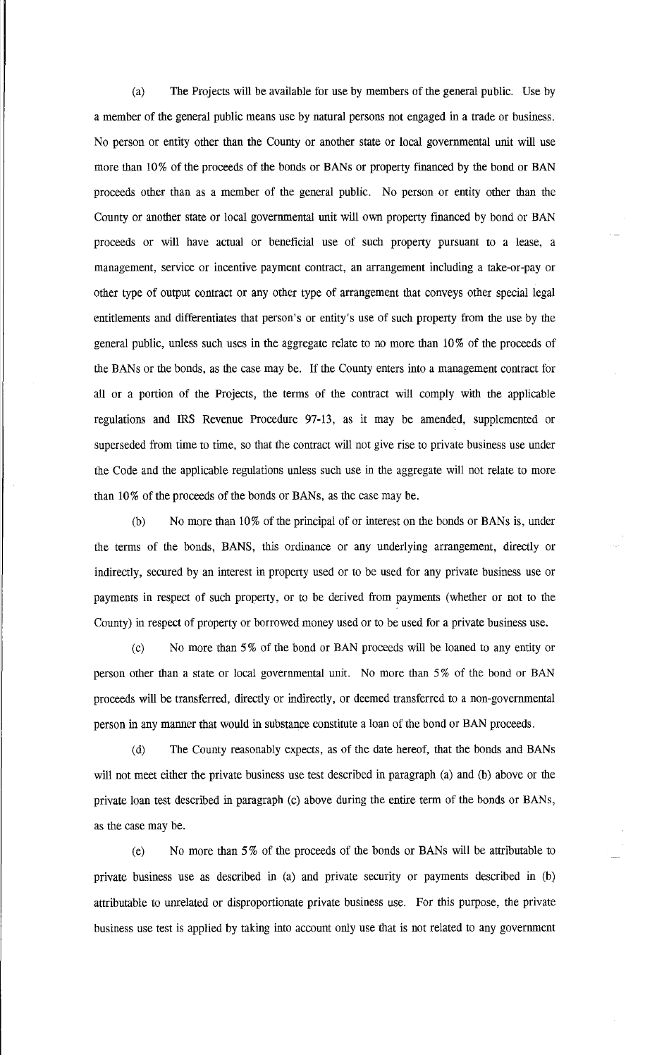(a) The Projects will be available for use by members of the general public. Use by a member of the general public means use by natural persons not engaged in a trade or business. No person or entity other than the County or another state or local governmental unit will use more than 10% of the proceeds of the bonds or BANs or property financed by the bond or BAN proceeds other than as a member of the general public. No person or entity other than the County or another state or local governmental unit will own property financed by bond or BAN proceeds or will have actual or beneficial use of such property pursuant to a lease, a management, service or incentive payment contract, an arrangement including a take-or-pay or other type of output contract or any other type of arrangement that conveys other special legal entitlements and differentiates that person's or entity's use of such property from the use by the general public, unless such uses in the aggregate relate to no more than 10 % of the proceeds of the BANs or the bonds, as the case may be. If the County enters into a management contract for all or a portion of the Projects, the terms of the contract will comply with the applicable regulations and IRS Revenue Procedure 97-13, as it may be amended, supplemented or superseded from time to time, so that the contract will not give rise to private business use under the Code and the applicable regulations unless such use in the aggregate will not relate to more than 10% of the proceeds of the bonds or BANs, as the case may be.

(b) No more than 10% of the principal of or interest on the bonds or BANs is, under the terms of the bonds, BANS, this ordinance or any underlying arrangement, directly or indirectly, secured by an interest in property used or to be used for any private business use or payments in respect of such property, or to be derived from payments (whether or not to the County) in respect of property or borrowed money used or to be used for a private business use.

(c) No more than 5% of the bond or BAN proceeds will be loaned to any entity or person other than a state or local governmental unit. No more than 5% of the bond or BAN proceeds will be transferred, directly or indirectly, or deemed transferred to a non-governmental person in any manner that would in substance constitute a loan of the bond or BAN proceeds.

(d) The County reasonably expects, as of the date hereof, that the bonds and BANs will not meet either the private business use test described in paragraph (a) and (b) above or the private loan test described in paragraph (c) above during the entire term of the bonds or BANs, as the case may be.

(e) No more than 5% of the proceeds of the bonds or BANs will be attributable to private business use as described in (a) and private security or payments described in (b) attributable to unrelated or disproportionate private business use. For this purpose, the private business use test is applied by taking into account only use that is not related to any government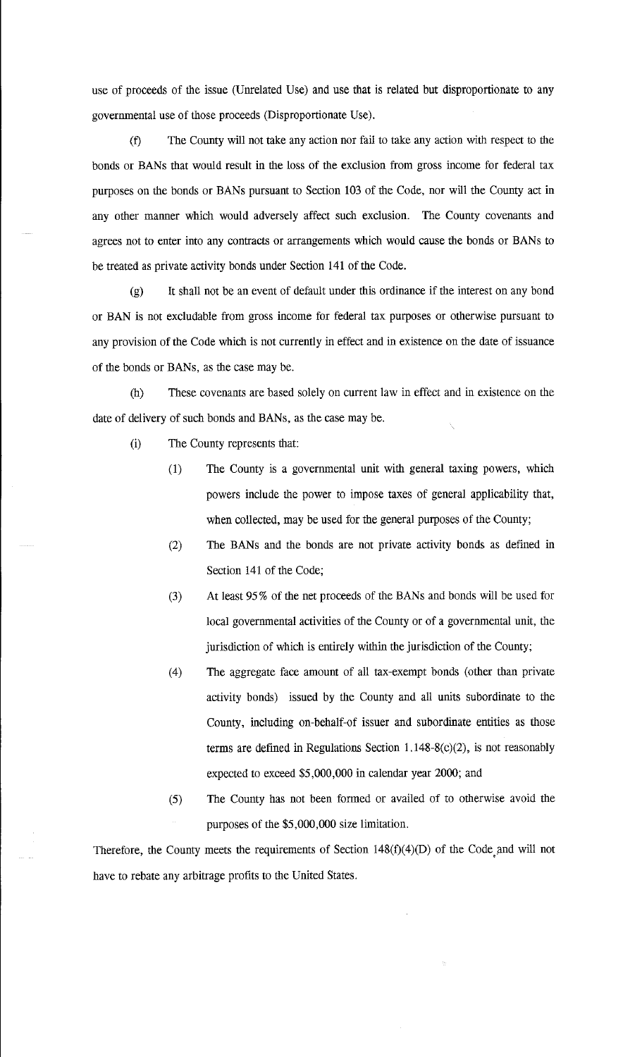use of proceeds of the issue (Unrelated Use) and use that is related but disproportionate to any governmental use of those proceeds (Disproportionate Use).

(f) The County will not take any action nor fail to take any action with respect to the bonds or BANs that would result in the loss of the exclusion from gross income for federal tax purposes on the bonds or BANs pursuant to Section 103 of the Code, nor will the County act in any other manner which would adversely affect such exclusion. The County covenants and agrees not to enter into any contracts or arrangements which would cause the bonds or BANs to be treated as private activity bonds under Section 141 of the Code.

(g) It shall not be an event of default under this ordinance if the interest on any bond or BAN is not excludable from gross income for federal tax purposes or otherwise pursuant to any provision of the Code which is not currently in effect and in existence on the date of issuance of the bonds or BANs, as the case may be.

(h) These covenants are based solely on current law in effect and in existence on the date of delivery of such bonds and BANs, as the case may be.

- (i) The County represents that:
	- (1) The County is a governmental unit with general taxing powers, which powers include the power to impose taxes of general applicability that, when collected, may be used for the general purposes of the County;
	- (2) The BANs and the bonds are not private activity bonds as defined in Section 141 of the Code;
	- (3) At least 953 of the net proceeds of the BANs and bonds will be used for local governmental activities of the County or of a governmental unit, the jurisdiction of which is entirely within the jurisdiction of the County;
	- (4) The aggregate face amount of all tax-exempt bonds (other than private activity bonds) issued by the County and all units subordinate to the County, including on-behalf-of issuer and subordinate entities as those terms are defined in Regulations Section  $1.148 - 8(c)(2)$ , is not reasonably expected to exceed \$5,000,000 in calendar year 2000; and
	- (5) The County has not been formed or availed of to otherwise avoid the purposes of the \$5,000,000 size limitation.

Therefore, the County meets the requirements of Section  $148(f)(4)(D)$  of the Code and will not have to rebate any arbitrage profits to the United States.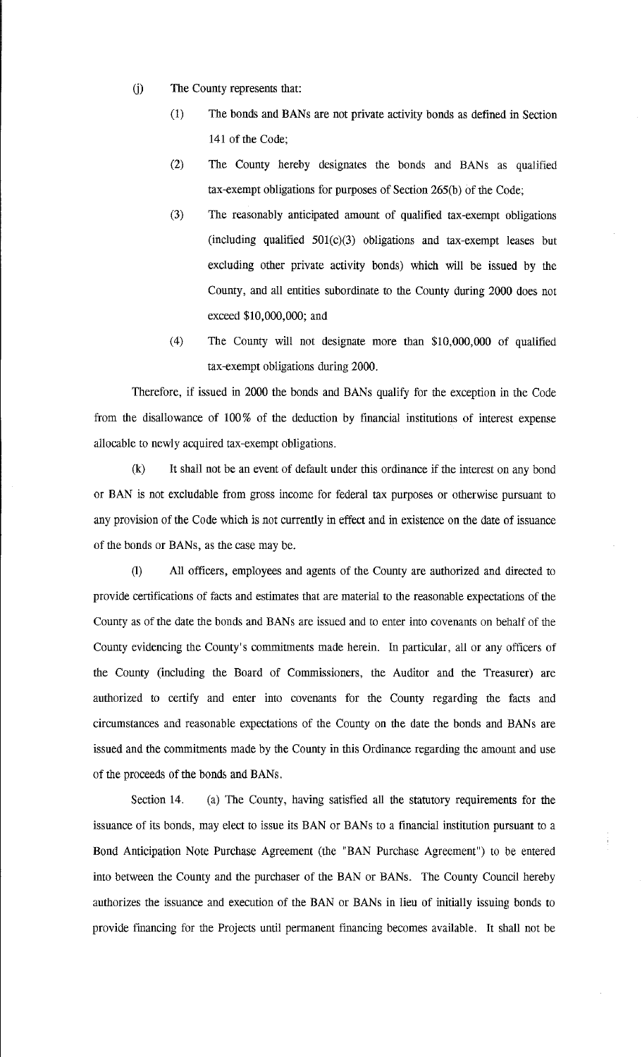- G) The County represents that:
	- (1) The bonds and BANs are not private activity bonds as defined in Section 141 of the Code;
	- (2) The County hereby designates the bonds and BANs as qualified tax-exempt obligations for purposes of Section 265(b) of the Code;
	- (3) The reasonably anticipated amount of qualified tax-exempt obligations (including qualified  $501(c)(3)$  obligations and tax-exempt leases but excluding other private activity bonds) which will be issued by the County, and all entities subordinate to the County during 2000 does not exceed \$10,000,000; and
	- (4) The County will not designate more than \$10,000,000 of qualified tax-exempt obligations during 2000.

Therefore, if issued in 2000 the bonds and BANs qualify for the exception in the Code from the disallowance of 100% of the deduction by financial institutions of interest expense allocable to newly acquired tax-exempt obligations.

(k) It shall not be an event of default under this ordinance if the interest on any bond or BAN is not excludable from gross income for federal tax purposes or otherwise pursuant to any provision of the Code which is not currently in effect and in existence on the date of issuance of the bonds or BANs, as the case may be.

(!) All officers, employees and agents of the County are authorized and directed to provide certifications of facts and estimates that are material to the reasonable expectations of the County as of the date the bonds and BANs are issued and to enter into covenants on behalf of the County evidencing the County's commitments made herein. In particular, all or any officers of the County (including the Board of Commissioners, the Auditor and the Treasurer) are authorized to certify and enter into covenants for the County regarding the facts and circumstances and reasonable expectations of the County on the date the bonds and BANs are issued and the commitments made by the County in this Ordinance regarding the amount and use of the proceeds of the bond5 and BANs.

Section 14. (a) The County, having satisfied all the statutory requirements for the issuance of its bonds, may elect to issue its BAN or BANs to a financial institution pursuant to a Bond Anticipation Note Purchase Agreement (the "BAN Purchase Agreement") to be entered into between the County and the purchaser of the BAN or BANs. The County Council hereby authorizes the issuance and execution of the BAN or BANs in lieu of initially issuing bonds to provide financing for the Projects until permanent financing becomes available. It shall not be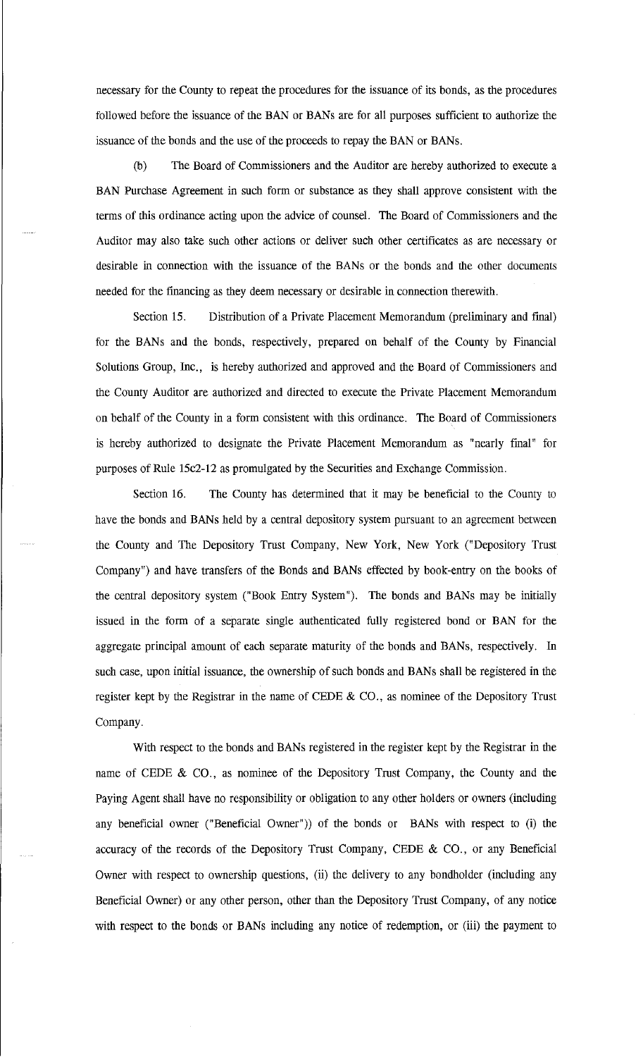necessary for the County to repeat the procedures for the issuance of its bonds, as the procedures followed before the issuance of the BAN or BANs are for all purposes sufficient to authorize the issuance of the bonds and the use of the proceeds to repay the BAN or BANs.

(b) The Board of Commissioners and the Auditor are hereby authorized to execute a BAN Purchase Agreement in such form or substance as they shall approve consistent with the terms of this ordinance acting upon the advice of counsel. The Board of Commissioners and the Auditor may also take such other actions or deliver such other certificates as are necessary or desirable in connection with the issuance of the BANs or the bonds and the other documents needed for the financing as they deem necessary or desirable in connection therewith.

Section 15. Distribution of a Private Placement Memorandum (preliminary and final) for the BANs and the bonds, respectively, prepared on behalf of the County by Financial Solutions Group, Inc., is hereby authorized and approved and the Board of Commissioners and the County Auditor are authorized and directed to execute the Private Placement Memorandum on behalf of the County in a form consistent with this ordinance. The Board of Commissioners is hereby authorized to designate the Private Placement Memorandum as "nearly final" for purposes of Rule 15c2-12 as promulgated by the Securities and Exchange Commission.

Section 16. The County has determined that it may be beneficial to the County to have the bonds and BANs held by a central depository system pursuant to an agreement between the County and The Depository Trust Company, New York, New York ("Depository Trust Company") and have transfers of the Bonds and BANs effected by book-entry on the books of the central depository system ("Book Entry System"). The bonds and BANs may be initially issued in the form of a separate single authenticated fully registered bond or BAN for the aggregate principal amount of each separate maturity of the bonds and BANs, respectively. In such case, upon initial issuance, the ownership of such bonds and BANs shall be registered in the register kept by the Registrar in the name of CEDE & CO., as nominee of the Depository Trust Company.

With respect to the bonds and BANs registered in the register kept by the Registrar in the name of CEDE & CO., as nominee of the Depository Trust Company, the County and the Paying Agent shall have no responsibility or obligation to any other holders or owners (including any beneficial owner ("Beneficial Owner")) of the bonds or BANs with respect to (i) the accuracy of the records of the Depository Trust Company, CEDE & CO., or any Beneficial Owner with respect to ownership questions, (ii) the delivery to any bondholder (including any Beneficial Owner) or any other person, other than the Depository Trust Company, of any notice with respect to the bonds or BANs including any notice of redemption, or (iii) the payment to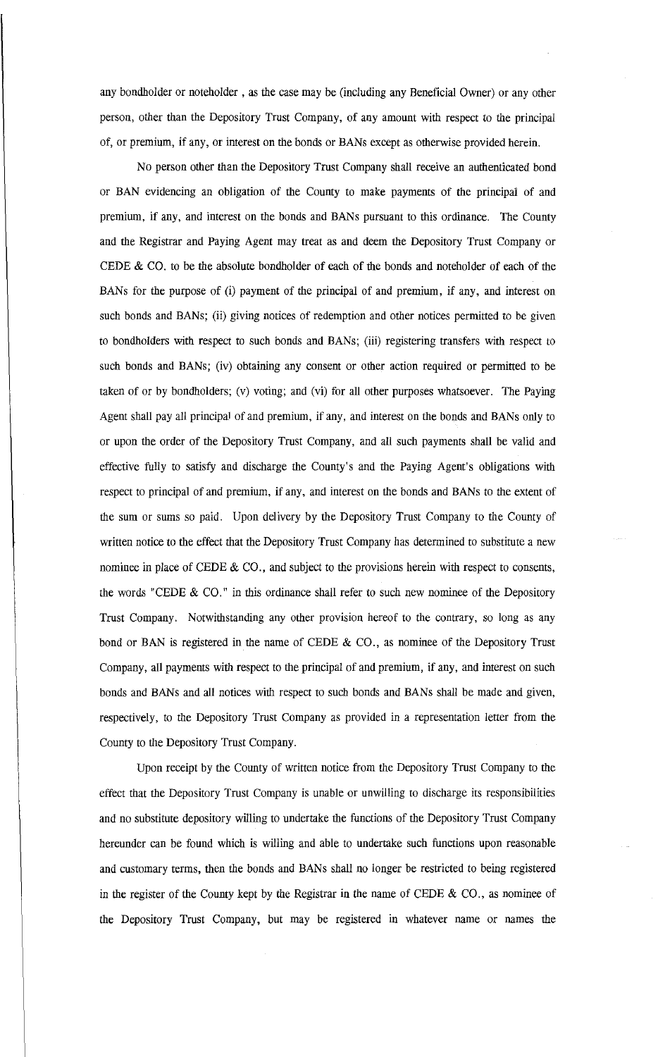any bondholder or noteholder , as the case may be (including any Beneficial Owner) or any other person, other than the Depository Trust Company, of any amount with respect to the principal of, or premium, if any, or interest on the bonds or BANs except as otherwise provided herein.

No person other than the Depository Trust Company shall receive an authenticated bond or BAN evidencing an obligation of the County to make payments of the principal of and premium, if any, and interest on the bonds and BANs pursuant to this ordinance. The County and the Registrar and Paying Agent may treat as and deem the Depository Trust Company or CEDE & CO. to be the absolute bondholder of each of the bonds and noteholder of each of the BANs for the purpose of (i) payment of the principal of and premium, if any, and interest on such bonds and BANs; (ii) giving notices of redemption and other notices permitted to be given to bondholders with respect to such bonds and BANs; (iii) registering transfers with respect to such bonds and BANs; (iv) obtaining any consent or other action required or permitted to be taken of or by bondholders; (v) voting; and (vi) for all other purposes whatsoever. The Paying Agent shall pay all principal of and premium, if any, and interest on the bonds and BANs only to or upon the order of the Depository Trust Company, and all such payments shall be valid and effective fully to satisfy and discharge the County's and the Paying Agent's obligations with respect to principal of and premium, if any, and interest on the bonds and BANs to the extent of the sum or sums so paid. Upon delivery by the Depository Trust Company to the County of written notice to the effect that the Depository Trust Company has determined to substitute a new nominee in place of CEDE & CO., and subject to the provisions herein with respect to consents, the words "CEDE  $\&$  CO." in this ordinance shall refer to such new nominee of the Depository Trust Company. Notwithstanding any other provision hereof to the contrary, so long as any bond or BAN is registered in the name of CEDE  $\&$  CO., as nominee of the Depository Trust Company, all payments with respect to the principal of and premium, if any, and interest on such bonds and BANs and all notices with respect to such bonds and BANs shall be made and given, respectively, to the Depository Trust Company as provided in a representation letter from the County to the Depository Trust Company.

Upon receipt by the County of written notice from the Depository Trust Company to the effect that the Depository Trust Company is unable or unwilling to discharge its responsibilities and no substitute depository willing to undertake the functions of the Depository Trust Company hereunder can be found which is willing and able to undertake such functions upon reasonable and customary terms, then the bonds and BANs shall no longer be restricted to being registered in the register of the County kept by the Registrar in the name of CEDE  $\&$  CO., as nominee of the Depository Trust Company, but may be registered in whatever name or names the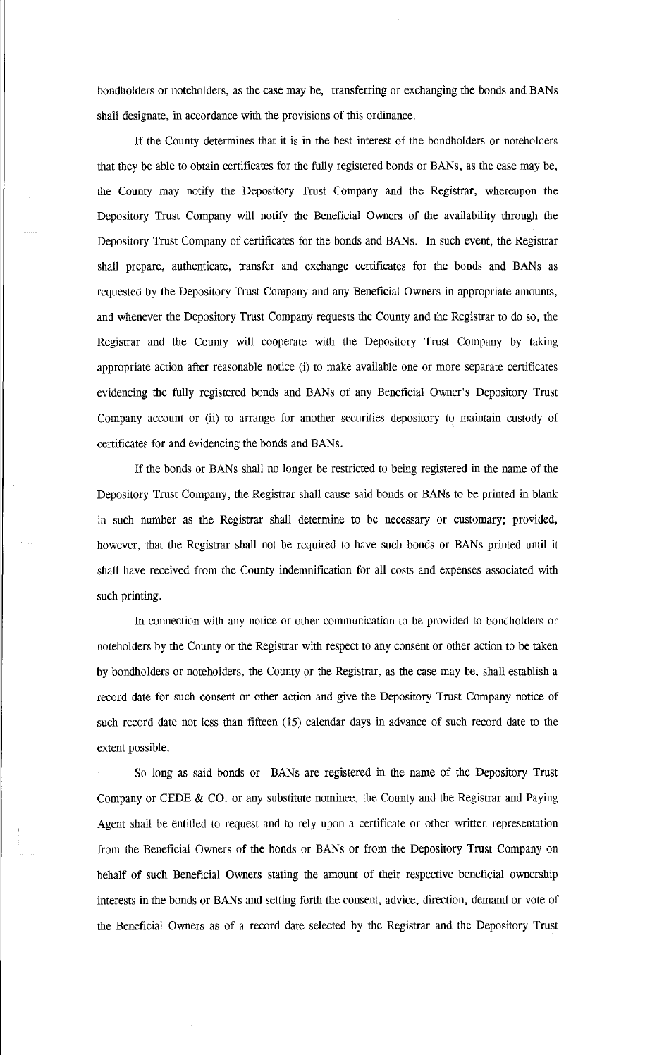bondholders or noteholders, as the case may be, transferring or exchanging the bonds and BANs shall designate, in accordance with the provisions of this ordinance.

If the County determines that it is in the best interest of the bondholders or noteholders that they be able to obtain certificates for the fully registered bonds or BANs, as the case may be, the County may notify the Depository Trust Company and the Registrar, whereupon the Depository Trust Company will notify the Beneficial Owners of the availability through the Depository Trust Company of certificates for the bonds and BANs. In such event, the Registrar shall prepare, authenticate, transfer and exchange certificates for the bonds and BANs as requested by the Depository Trust Company and any Beneficial Owners in appropriate amounts, and whenever the Depository Trust Company requests the County and the Registrar to do so, the Registrar and the County will cooperate with the Depository Trust Company by taking appropriate action after reasonable notice (i) to make available one or more separate certificates evidencing the fully registered bonds and BANs of any Beneficial Owner's Depository Trust Company account or (ii) to arrange for another securities depository to maintain custody of certificates for and evidencing the bonds and BANs.

If the bonds or BANs shall no longer be restricted to being registered in the name of the Depository Trust Company, the Registrar shall cause said bonds or BANs to be printed in blank in such number as the Registrar shall determine to be necessary or customary; provided, however, that the Registrar shall not be required to have such bonds or BANs printed until it shall have received from the County indemnification for all costs and expenses associated with such printing.

In connection with any notice or other communication to be provided to bondholders or noteholders by the County or the Registrar with respect to any consent or other action to be taken by bondholders or noteholders, the County or the Registrar, as the case may be, shall establish a record date for such consent or other action and give the Depository Trust Company notice of such record date not less than fifteen (15) calendar days in advance of such record date to the extent possible.

So long as said bonds or BANs are registered in the name of the Depository Trust Company or CEDE  $\&$  CO. or any substitute nominee, the County and the Registrar and Paying Agent shall be entitled to request and to rely upon a certificate or other written representation from the Beneficial Owners of the bonds or BANs or from the Depository Trust Company on behalf of such Beneficial Owners stating the amount of their respective beneficial ownership interests in the bonds or BANs and setting forth the consent, advice, direction, demand or vote of the Beneficial Owners as of a record date selected by the Registrar and the Depository Trust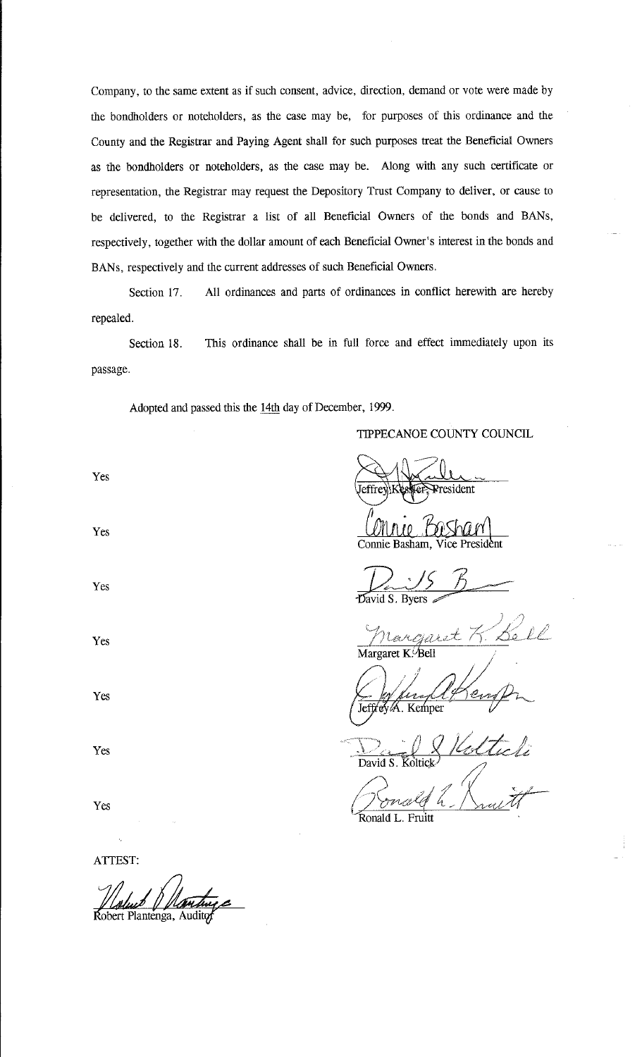Company, to the same extent as if such consent, advice, direction, demand or vote were made by the bondholders or noteholders, as the case may be, for purposes of this ordinance and the County and the Registrar and Paying Agent shall for such purposes treat the Beneficial Owners as the bondholders or noteholders, as the case may be. Along with any such certificate or representation, the Registrar may request the Depository Trust Company to deliver, or cause to be delivered, to the Registrar a list of all Beneficial Owners of the bonds and BANs, respectively, together with the dollar amount of each Beneficial Owner's interest in the bonds and BANs, respectively and the current addresses of such Beneficial Owners.

Section 17. All ordinances and parts of ordinances in conflict herewith are hereby repealed.

Section 18. This ordinance shall be in full force and effect immediately upon its passage.

Adopted and passed this the 14th day of December, 1999.

## TIPPECANOE COUNTY COUNCIL

~ President effre

*Loru1io* .m1 Vice President Connie Basham, Vice President

David S. Byers

*P,*   $\cal$ Margaret K $\mathcal{A}$ Bell

<u>Le for deregled</u><br>Jeffrey*l*A. Kemper

David S. Koltick<sup>)</sup> David S. Koltick<br>*Concele L. Linux th*<br>Ronald L. Fruitt

ATTEST:

obert Planténga, Audito

Yes

Yes

Yes

Yes

Yes

Yes

Yes